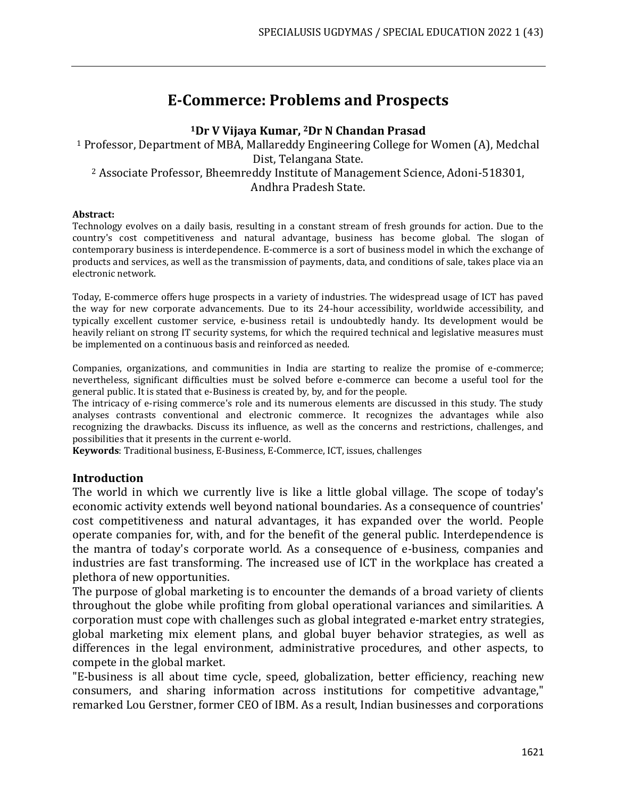# **E-Commerce: Problems and Prospects**

#### **<sup>1</sup>Dr V Vijaya Kumar, 2Dr N Chandan Prasad**

<sup>1</sup> Professor, Department of MBA, Mallareddy Engineering College for Women (A), Medchal Dist, Telangana State. <sup>2</sup> Associate Professor, Bheemreddy Institute of Management Science, Adoni-518301, Andhra Pradesh State.

#### **Abstract:**

Technology evolves on a daily basis, resulting in a constant stream of fresh grounds for action. Due to the country's cost competitiveness and natural advantage, business has become global. The slogan of contemporary business is interdependence. E-commerce is a sort of business model in which the exchange of products and services, as well as the transmission of payments, data, and conditions of sale, takes place via an electronic network.

Today, E-commerce offers huge prospects in a variety of industries. The widespread usage of ICT has paved the way for new corporate advancements. Due to its 24-hour accessibility, worldwide accessibility, and typically excellent customer service, e-business retail is undoubtedly handy. Its development would be heavily reliant on strong IT security systems, for which the required technical and legislative measures must be implemented on a continuous basis and reinforced as needed.

Companies, organizations, and communities in India are starting to realize the promise of e-commerce; nevertheless, significant difficulties must be solved before e-commerce can become a useful tool for the general public. It is stated that e-Business is created by, by, and for the people.

The intricacy of e-rising commerce's role and its numerous elements are discussed in this study. The study analyses contrasts conventional and electronic commerce. It recognizes the advantages while also recognizing the drawbacks. Discuss its influence, as well as the concerns and restrictions, challenges, and possibilities that it presents in the current e-world.

**Keywords**: Traditional business, E-Business, E-Commerce, ICT, issues, challenges

#### **Introduction**

The world in which we currently live is like a little global village. The scope of today's economic activity extends well beyond national boundaries. As a consequence of countries' cost competitiveness and natural advantages, it has expanded over the world. People operate companies for, with, and for the benefit of the general public. Interdependence is the mantra of today's corporate world. As a consequence of e-business, companies and industries are fast transforming. The increased use of ICT in the workplace has created a plethora of new opportunities.

The purpose of global marketing is to encounter the demands of a broad variety of clients throughout the globe while profiting from global operational variances and similarities. A corporation must cope with challenges such as global integrated e-market entry strategies, global marketing mix element plans, and global buyer behavior strategies, as well as differences in the legal environment, administrative procedures, and other aspects, to compete in the global market.

"E-business is all about time cycle, speed, globalization, better efficiency, reaching new consumers, and sharing information across institutions for competitive advantage," remarked Lou Gerstner, former CEO of IBM. As a result, Indian businesses and corporations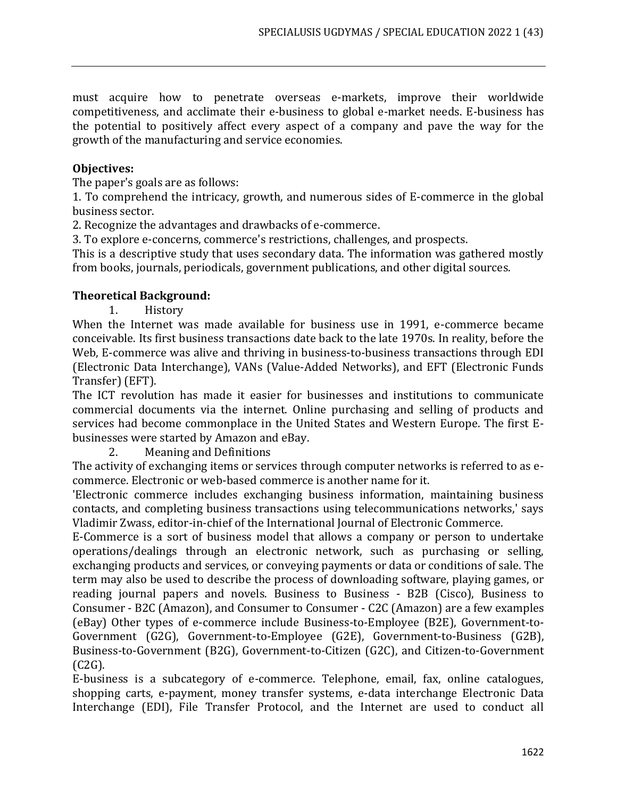must acquire how to penetrate overseas e-markets, improve their worldwide competitiveness, and acclimate their e-business to global e-market needs. E-business has the potential to positively affect every aspect of a company and pave the way for the growth of the manufacturing and service economies.

#### **Objectives:**

The paper's goals are as follows:

1. To comprehend the intricacy, growth, and numerous sides of E-commerce in the global business sector.

2. Recognize the advantages and drawbacks of e-commerce.

3. To explore e-concerns, commerce's restrictions, challenges, and prospects.

This is a descriptive study that uses secondary data. The information was gathered mostly from books, journals, periodicals, government publications, and other digital sources.

#### **Theoretical Background:**

1. History

When the Internet was made available for business use in 1991, e-commerce became conceivable. Its first business transactions date back to the late 1970s. In reality, before the Web, E-commerce was alive and thriving in business-to-business transactions through EDI (Electronic Data Interchange), VANs (Value-Added Networks), and EFT (Electronic Funds Transfer) (EFT).

The ICT revolution has made it easier for businesses and institutions to communicate commercial documents via the internet. Online purchasing and selling of products and services had become commonplace in the United States and Western Europe. The first Ebusinesses were started by Amazon and eBay.

2. Meaning and Definitions

The activity of exchanging items or services through computer networks is referred to as ecommerce. Electronic or web-based commerce is another name for it.

'Electronic commerce includes exchanging business information, maintaining business contacts, and completing business transactions using telecommunications networks,' says Vladimir Zwass, editor-in-chief of the International Journal of Electronic Commerce.

E-Commerce is a sort of business model that allows a company or person to undertake operations/dealings through an electronic network, such as purchasing or selling, exchanging products and services, or conveying payments or data or conditions of sale. The term may also be used to describe the process of downloading software, playing games, or reading journal papers and novels. Business to Business - B2B (Cisco), Business to Consumer - B2C (Amazon), and Consumer to Consumer - C2C (Amazon) are a few examples (eBay) Other types of e-commerce include Business-to-Employee (B2E), Government-to-Government (G2G), Government-to-Employee (G2E), Government-to-Business (G2B), Business-to-Government (B2G), Government-to-Citizen (G2C), and Citizen-to-Government (C2G).

E-business is a subcategory of e-commerce. Telephone, email, fax, online catalogues, shopping carts, e-payment, money transfer systems, e-data interchange Electronic Data Interchange (EDI), File Transfer Protocol, and the Internet are used to conduct all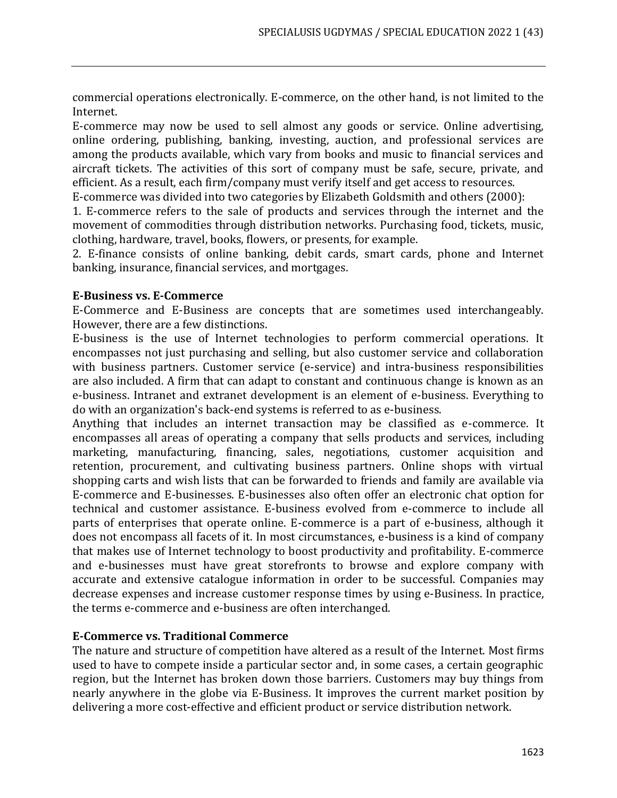commercial operations electronically. E-commerce, on the other hand, is not limited to the Internet.

E-commerce may now be used to sell almost any goods or service. Online advertising, online ordering, publishing, banking, investing, auction, and professional services are among the products available, which vary from books and music to financial services and aircraft tickets. The activities of this sort of company must be safe, secure, private, and efficient. As a result, each firm/company must verify itself and get access to resources.

E-commerce was divided into two categories by Elizabeth Goldsmith and others (2000):

1. E-commerce refers to the sale of products and services through the internet and the movement of commodities through distribution networks. Purchasing food, tickets, music, clothing, hardware, travel, books, flowers, or presents, for example.

2. E-finance consists of online banking, debit cards, smart cards, phone and Internet banking, insurance, financial services, and mortgages.

# **E-Business vs. E-Commerce**

E-Commerce and E-Business are concepts that are sometimes used interchangeably. However, there are a few distinctions.

E-business is the use of Internet technologies to perform commercial operations. It encompasses not just purchasing and selling, but also customer service and collaboration with business partners. Customer service (e-service) and intra-business responsibilities are also included. A firm that can adapt to constant and continuous change is known as an e-business. Intranet and extranet development is an element of e-business. Everything to do with an organization's back-end systems is referred to as e-business.

Anything that includes an internet transaction may be classified as e-commerce. It encompasses all areas of operating a company that sells products and services, including marketing, manufacturing, financing, sales, negotiations, customer acquisition and retention, procurement, and cultivating business partners. Online shops with virtual shopping carts and wish lists that can be forwarded to friends and family are available via E-commerce and E-businesses. E-businesses also often offer an electronic chat option for technical and customer assistance. E-business evolved from e-commerce to include all parts of enterprises that operate online. E-commerce is a part of e-business, although it does not encompass all facets of it. In most circumstances, e-business is a kind of company that makes use of Internet technology to boost productivity and profitability. E-commerce and e-businesses must have great storefronts to browse and explore company with accurate and extensive catalogue information in order to be successful. Companies may decrease expenses and increase customer response times by using e-Business. In practice, the terms e-commerce and e-business are often interchanged.

# **E-Commerce vs. Traditional Commerce**

The nature and structure of competition have altered as a result of the Internet. Most firms used to have to compete inside a particular sector and, in some cases, a certain geographic region, but the Internet has broken down those barriers. Customers may buy things from nearly anywhere in the globe via E-Business. It improves the current market position by delivering a more cost-effective and efficient product or service distribution network.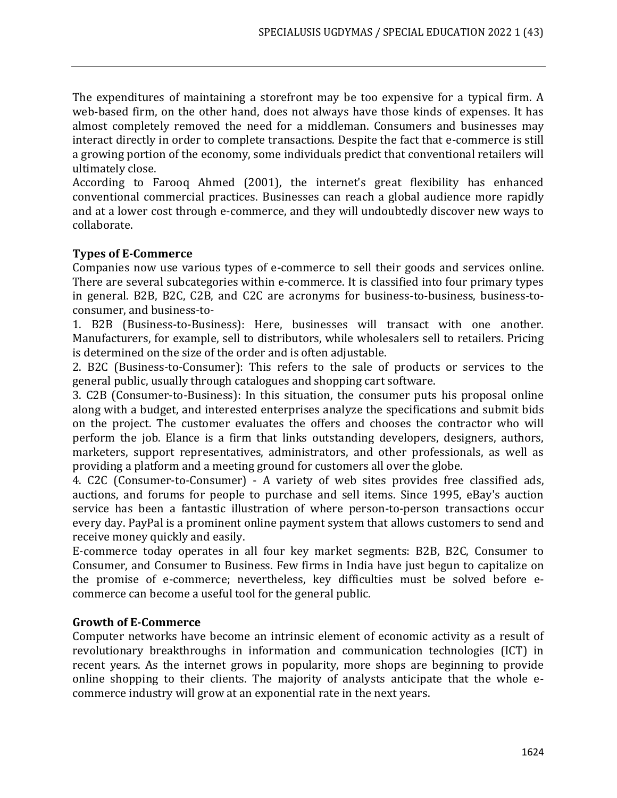The expenditures of maintaining a storefront may be too expensive for a typical firm. A web-based firm, on the other hand, does not always have those kinds of expenses. It has almost completely removed the need for a middleman. Consumers and businesses may interact directly in order to complete transactions. Despite the fact that e-commerce is still a growing portion of the economy, some individuals predict that conventional retailers will ultimately close.

According to Farooq Ahmed (2001), the internet's great flexibility has enhanced conventional commercial practices. Businesses can reach a global audience more rapidly and at a lower cost through e-commerce, and they will undoubtedly discover new ways to collaborate.

# **Types of E-Commerce**

Companies now use various types of e-commerce to sell their goods and services online. There are several subcategories within e-commerce. It is classified into four primary types in general. B2B, B2C, C2B, and C2C are acronyms for business-to-business, business-toconsumer, and business-to-

1. B2B (Business-to-Business): Here, businesses will transact with one another. Manufacturers, for example, sell to distributors, while wholesalers sell to retailers. Pricing is determined on the size of the order and is often adjustable.

2. B2C (Business-to-Consumer): This refers to the sale of products or services to the general public, usually through catalogues and shopping cart software.

3. C2B (Consumer-to-Business): In this situation, the consumer puts his proposal online along with a budget, and interested enterprises analyze the specifications and submit bids on the project. The customer evaluates the offers and chooses the contractor who will perform the job. Elance is a firm that links outstanding developers, designers, authors, marketers, support representatives, administrators, and other professionals, as well as providing a platform and a meeting ground for customers all over the globe.

4. C2C (Consumer-to-Consumer) - A variety of web sites provides free classified ads, auctions, and forums for people to purchase and sell items. Since 1995, eBay's auction service has been a fantastic illustration of where person-to-person transactions occur every day. PayPal is a prominent online payment system that allows customers to send and receive money quickly and easily.

E-commerce today operates in all four key market segments: B2B, B2C, Consumer to Consumer, and Consumer to Business. Few firms in India have just begun to capitalize on the promise of e-commerce; nevertheless, key difficulties must be solved before ecommerce can become a useful tool for the general public.

# **Growth of E-Commerce**

Computer networks have become an intrinsic element of economic activity as a result of revolutionary breakthroughs in information and communication technologies (ICT) in recent years. As the internet grows in popularity, more shops are beginning to provide online shopping to their clients. The majority of analysts anticipate that the whole ecommerce industry will grow at an exponential rate in the next years.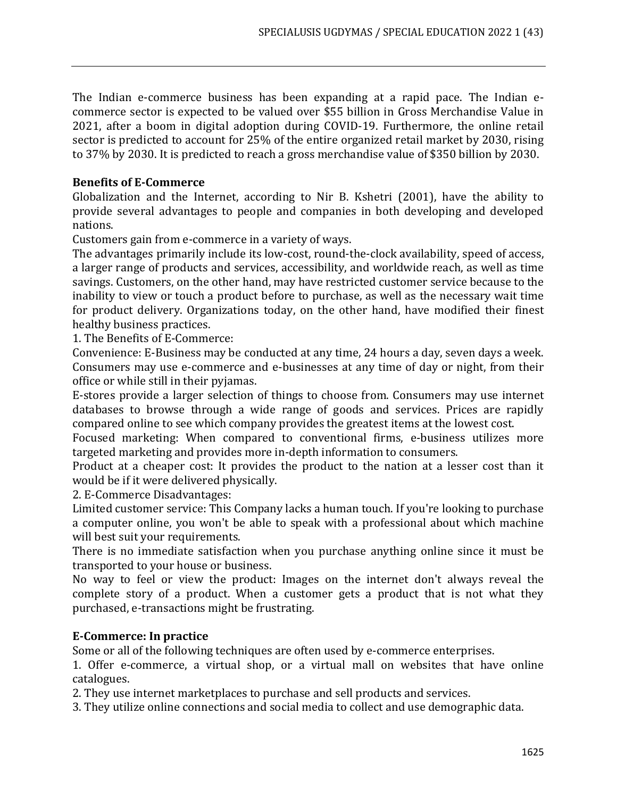The Indian e-commerce business has been expanding at a rapid pace. The Indian ecommerce sector is expected to be valued over \$55 billion in Gross Merchandise Value in 2021, after a boom in digital adoption during COVID-19. Furthermore, the online retail sector is predicted to account for 25% of the entire organized retail market by 2030, rising to 37% by 2030. It is predicted to reach a gross merchandise value of \$350 billion by 2030.

# **Benefits of E-Commerce**

Globalization and the Internet, according to Nir B. Kshetri (2001), have the ability to provide several advantages to people and companies in both developing and developed nations.

Customers gain from e-commerce in a variety of ways.

The advantages primarily include its low-cost, round-the-clock availability, speed of access, a larger range of products and services, accessibility, and worldwide reach, as well as time savings. Customers, on the other hand, may have restricted customer service because to the inability to view or touch a product before to purchase, as well as the necessary wait time for product delivery. Organizations today, on the other hand, have modified their finest healthy business practices.

1. The Benefits of E-Commerce:

Convenience: E-Business may be conducted at any time, 24 hours a day, seven days a week. Consumers may use e-commerce and e-businesses at any time of day or night, from their office or while still in their pyjamas.

E-stores provide a larger selection of things to choose from. Consumers may use internet databases to browse through a wide range of goods and services. Prices are rapidly compared online to see which company provides the greatest items at the lowest cost.

Focused marketing: When compared to conventional firms, e-business utilizes more targeted marketing and provides more in-depth information to consumers.

Product at a cheaper cost: It provides the product to the nation at a lesser cost than it would be if it were delivered physically.

2. E-Commerce Disadvantages:

Limited customer service: This Company lacks a human touch. If you're looking to purchase a computer online, you won't be able to speak with a professional about which machine will best suit your requirements.

There is no immediate satisfaction when you purchase anything online since it must be transported to your house or business.

No way to feel or view the product: Images on the internet don't always reveal the complete story of a product. When a customer gets a product that is not what they purchased, e-transactions might be frustrating.

# **E-Commerce: In practice**

Some or all of the following techniques are often used by e-commerce enterprises.

1. Offer e-commerce, a virtual shop, or a virtual mall on websites that have online catalogues.

2. They use internet marketplaces to purchase and sell products and services.

3. They utilize online connections and social media to collect and use demographic data.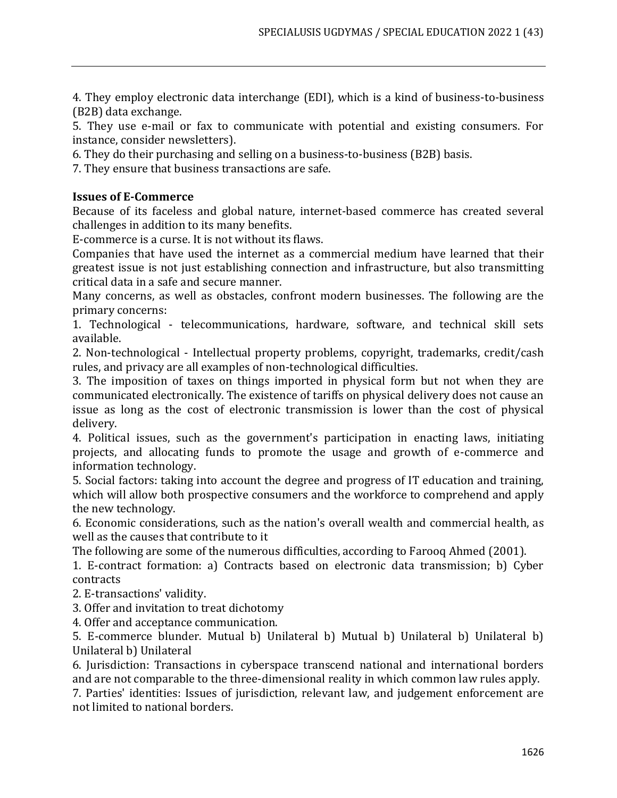4. They employ electronic data interchange (EDI), which is a kind of business-to-business (B2B) data exchange.

5. They use e-mail or fax to communicate with potential and existing consumers. For instance, consider newsletters).

6. They do their purchasing and selling on a business-to-business (B2B) basis.

7. They ensure that business transactions are safe.

#### **Issues of E-Commerce**

Because of its faceless and global nature, internet-based commerce has created several challenges in addition to its many benefits.

E-commerce is a curse. It is not without its flaws.

Companies that have used the internet as a commercial medium have learned that their greatest issue is not just establishing connection and infrastructure, but also transmitting critical data in a safe and secure manner.

Many concerns, as well as obstacles, confront modern businesses. The following are the primary concerns:

1. Technological - telecommunications, hardware, software, and technical skill sets available.

2. Non-technological - Intellectual property problems, copyright, trademarks, credit/cash rules, and privacy are all examples of non-technological difficulties.

3. The imposition of taxes on things imported in physical form but not when they are communicated electronically. The existence of tariffs on physical delivery does not cause an issue as long as the cost of electronic transmission is lower than the cost of physical delivery.

4. Political issues, such as the government's participation in enacting laws, initiating projects, and allocating funds to promote the usage and growth of e-commerce and information technology.

5. Social factors: taking into account the degree and progress of IT education and training, which will allow both prospective consumers and the workforce to comprehend and apply the new technology.

6. Economic considerations, such as the nation's overall wealth and commercial health, as well as the causes that contribute to it

The following are some of the numerous difficulties, according to Farooq Ahmed (2001).

1. E-contract formation: a) Contracts based on electronic data transmission; b) Cyber contracts

2. E-transactions' validity.

3. Offer and invitation to treat dichotomy

4. Offer and acceptance communication.

5. E-commerce blunder. Mutual b) Unilateral b) Mutual b) Unilateral b) Unilateral b) Unilateral b) Unilateral

6. Jurisdiction: Transactions in cyberspace transcend national and international borders and are not comparable to the three-dimensional reality in which common law rules apply.

7. Parties' identities: Issues of jurisdiction, relevant law, and judgement enforcement are not limited to national borders.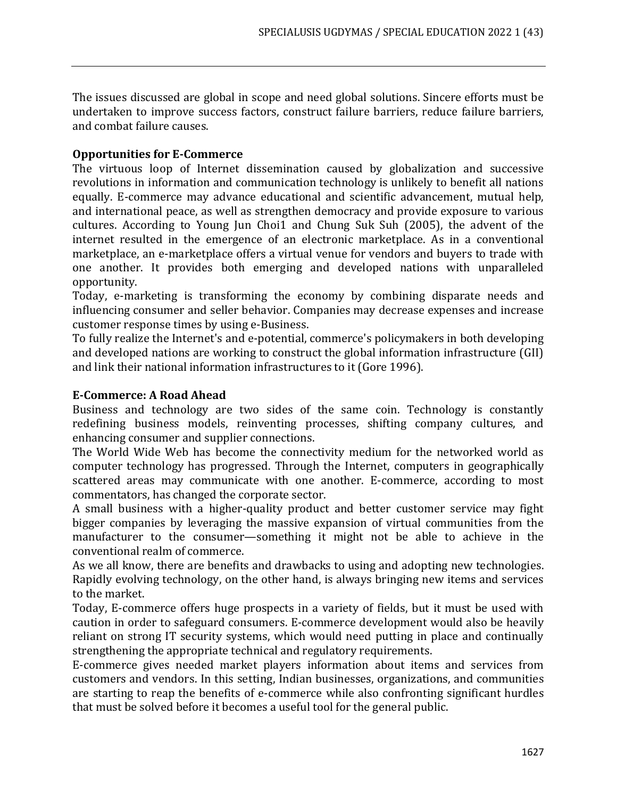The issues discussed are global in scope and need global solutions. Sincere efforts must be undertaken to improve success factors, construct failure barriers, reduce failure barriers, and combat failure causes.

#### **Opportunities for E-Commerce**

The virtuous loop of Internet dissemination caused by globalization and successive revolutions in information and communication technology is unlikely to benefit all nations equally. E-commerce may advance educational and scientific advancement, mutual help, and international peace, as well as strengthen democracy and provide exposure to various cultures. According to Young Jun Choi1 and Chung Suk Suh (2005), the advent of the internet resulted in the emergence of an electronic marketplace. As in a conventional marketplace, an e-marketplace offers a virtual venue for vendors and buyers to trade with one another. It provides both emerging and developed nations with unparalleled opportunity.

Today, e-marketing is transforming the economy by combining disparate needs and influencing consumer and seller behavior. Companies may decrease expenses and increase customer response times by using e-Business.

To fully realize the Internet's and e-potential, commerce's policymakers in both developing and developed nations are working to construct the global information infrastructure (GII) and link their national information infrastructures to it (Gore 1996).

#### **E-Commerce: A Road Ahead**

Business and technology are two sides of the same coin. Technology is constantly redefining business models, reinventing processes, shifting company cultures, and enhancing consumer and supplier connections.

The World Wide Web has become the connectivity medium for the networked world as computer technology has progressed. Through the Internet, computers in geographically scattered areas may communicate with one another. E-commerce, according to most commentators, has changed the corporate sector.

A small business with a higher-quality product and better customer service may fight bigger companies by leveraging the massive expansion of virtual communities from the manufacturer to the consumer—something it might not be able to achieve in the conventional realm of commerce.

As we all know, there are benefits and drawbacks to using and adopting new technologies. Rapidly evolving technology, on the other hand, is always bringing new items and services to the market.

Today, E-commerce offers huge prospects in a variety of fields, but it must be used with caution in order to safeguard consumers. E-commerce development would also be heavily reliant on strong IT security systems, which would need putting in place and continually strengthening the appropriate technical and regulatory requirements.

E-commerce gives needed market players information about items and services from customers and vendors. In this setting, Indian businesses, organizations, and communities are starting to reap the benefits of e-commerce while also confronting significant hurdles that must be solved before it becomes a useful tool for the general public.